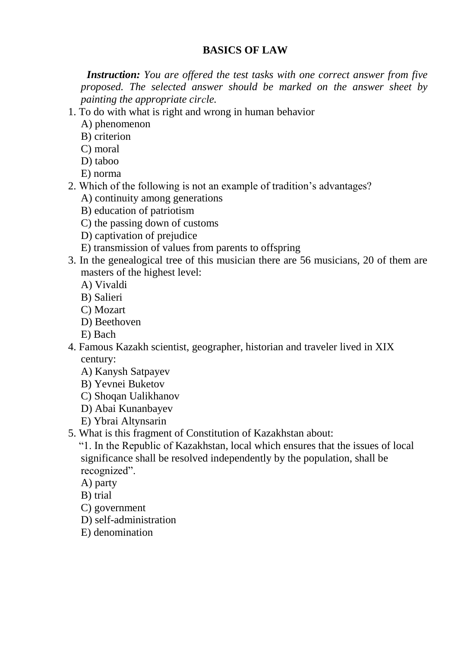### **BASICS OF LAW**

 *Instruction: You are offered the test tasks with one correct answer from five proposed. The selected answer should be marked on the answer sheet by painting the appropriate cirсle.*

- 1. To do with what is right and wrong in human behavior
	- A) phenomenon
	- B) criterion
	- C) moral
	- D) taboo
	- E) norma
- 2. Which of the following is not an example of tradition's advantages?
	- A) continuity among generations
	- B) education of patriotism
	- C) the passing down of customs
	- D) captivation of prejudice
	- E) transmission of values from parents to offspring
- 3. In the genealogical tree of this musician there are 56 musicians, 20 of them are masters of the highest level:
	- A) Vivaldi
	- B) Salieri
	- C) Mozart
	- D) Beethoven
	- E) Bach
- 4. Famous Kazakh scientist, geographer, historian and traveler lived in XIX century:
	- A) Kanysh Satpayev
	- B) Yevnei Buketov
	- C) Shoqan Ualikhanov
	- D) Abai Kunanbayev
	- E) Ybrai Altynsarin
- 5. What is this fragment of Constitution of Kazakhstan about:

 "1. In the Republic of Kazakhstan, local which ensures that the issues of local significance shall be resolved independently by the population, shall be recognized".

- A) party
- B) trial
- C) government
- D) self-administration
- E) denomination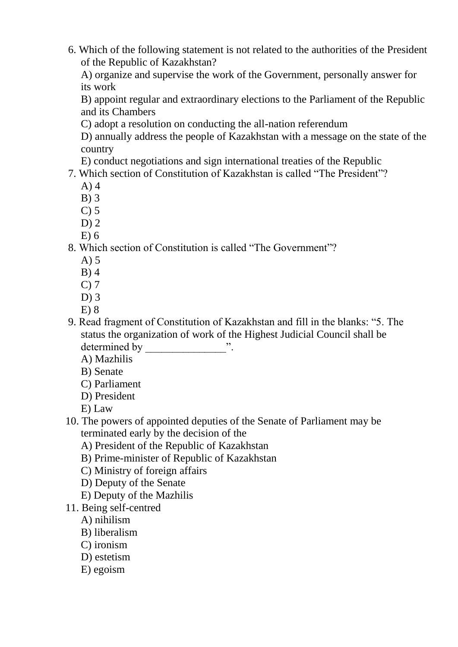6. Which of the following statement is not related to the authorities of the President of the Republic of Kazakhstan?

A) organize and supervise the work of the Government, personally answer for its work

B) appoint regular and extraordinary elections to the Parliament of the Republic and its Chambers

C) adopt a resolution on conducting the all-nation referendum

D) annually address the people of Kazakhstan with a message on the state of the country

E) conduct negotiations and sign international treaties of the Republic

7. Which section of Constitution of Kazakhstan is called "The President"?

- A) 4
- B) 3
- $C$ ) 5
- $D$ ) 2
- E) 6

### 8. Which section of Constitution is called "The Government"?

- A) 5
- B) 4
- C) 7
- D) 3
- E) 8
- 9. Read fragment of Constitution of Kazakhstan and fill in the blanks: "5. The status the organization of work of the Highest Judicial Council shall be determined by
	- A) Mazhilis
	- B) Senate
	- C) Parliament
	- D) President
	- E) Law
- 10. The powers of appointed deputies of the Senate of Parliament may be terminated early by the decision of the
	- A) President of the Republic of Kazakhstan
	- B) Prime-minister of Republic of Kazakhstan
	- C) Ministry of foreign affairs
	- D) Deputy of the Senate
	- E) Deputy of the Mazhilis
- 11. Being self-centred
	- A) nihilism
	- B) liberalism
	- C) ironism
	- D) estetism
	- E) egoism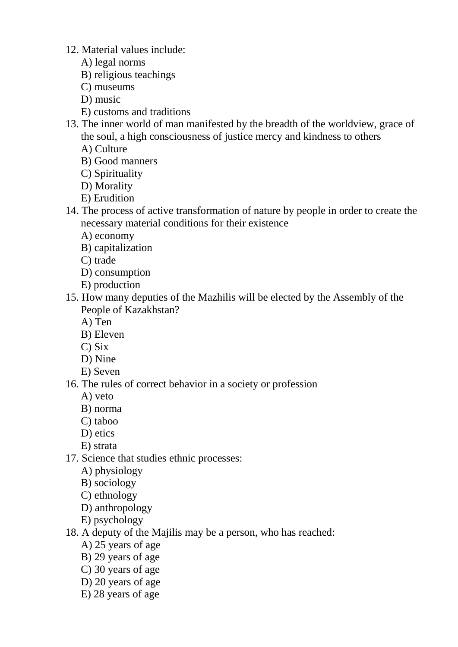- 12. Material values include:
	- A) legal norms
	- B) religious teachings
	- C) museums
	- D) music
	- E) customs and traditions
- 13. The inner world of man manifested by the breadth of the worldview, grace of the soul, a high consciousness of justice mercy and kindness to others
	- A) Culture
	- B) Good manners
	- C) Spirituality
	- D) Morality
	- E) Erudition
- 14. The process of active transformation of nature by people in order to create the necessary material conditions for their existence
	- A) economy
	- B) capitalization
	- C) trade
	- D) consumption
	- E) production
- 15. How many deputies of the Mazhilis will be elected by the Assembly of the People of Kazakhstan?
	- A) Ten
	- B) Eleven
	- C) Six
	- D) Nine
	- E) Seven
- 16. The rules of correct behavior in a society or profession
	- A) veto
	- B) norma
	- C) taboo
	- D) etics
	- E) strata
- 17. Science that studies ethnic processes:
	- A) physiology
	- B) sociology
	- C) ethnology
	- D) anthropology
	- E) psychology
- 18. A deputy of the Majilis may be a person, who has reached:
	- A) 25 years of age
	- B) 29 years of age
	- C) 30 years of age
	- D) 20 years of age
	- E) 28 years of age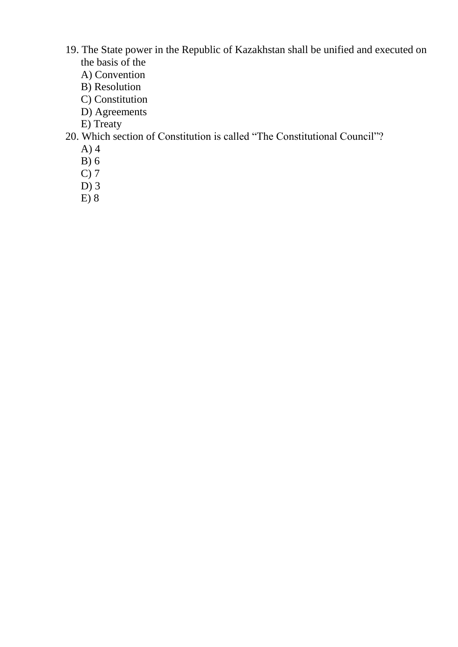- 19. The State power in the Republic of Kazakhstan shall be unified and executed on the basis of the
	- A) Convention
	- B) Resolution
	- C) Constitution
	- D) Agreements
	- E) Treaty

# 20. Which section of Constitution is called "The Constitutional Council"?

- A) 4
- B) 6
- C) 7
- D) 3
- $E)$  8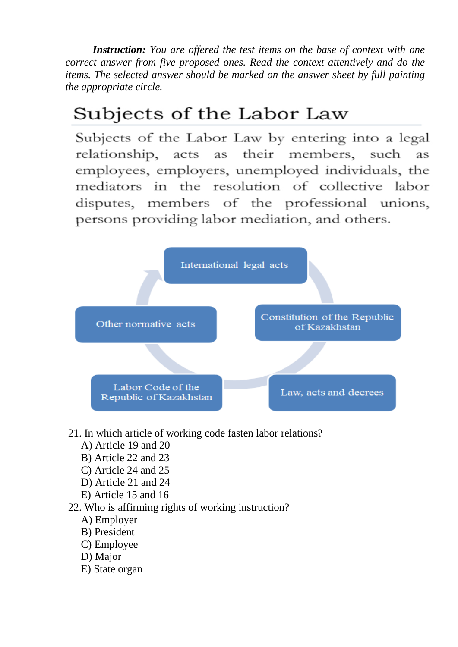*Instruction: You are offered the test items on the base of context with one correct answer from five proposed ones. Read the context attentively and do the items. The selected answer should be marked on the answer sheet by full painting the appropriate circle.*

# Subjects of the Labor Law

Subjects of the Labor Law by entering into a legal relationship, acts as their members, such **as** employees, employers, unemployed individuals, the mediators in the resolution of collective labor disputes, members of the professional unions, persons providing labor mediation, and others.



- 21. In which article of working code fasten labor relations?
	- A) Article 19 and 20
	- B) Article 22 and 23
	- C) Article 24 and 25
	- D) Article 21 and 24
	- E) Article 15 and 16
- 22. Who is affirming rights of working instruction?
	- A) Employer
	- B) President
	- C) Employee
	- D) Major
	- E) State organ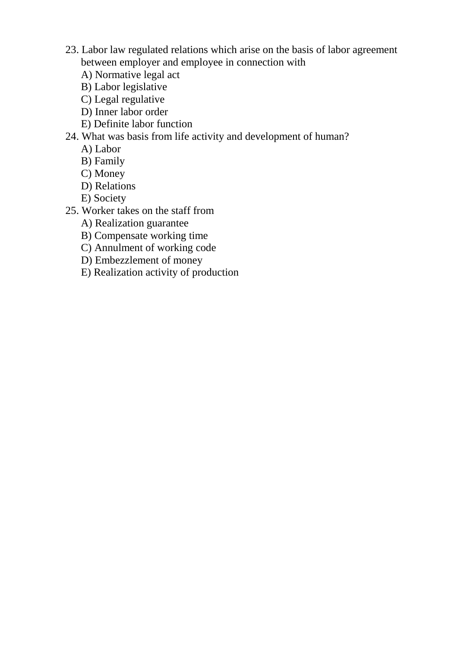- 23. Labor law regulated relations which arise on the basis of labor agreement between employer and employee in connection with
	- A) Normative legal act
	- B) Labor legislative
	- C) Legal regulative
	- D) Inner labor order
	- E) Definite labor function

#### 24. What was basis from life activity and development of human?

- A) Labor
- B) Family
- C) Money
- D) Relations
- E) Society
- 25. Worker takes on the staff from
	- A) Realization guarantee
	- B) Compensate working time
	- C) Annulment of working code
	- D) Embezzlement of money
	- E) Realization activity of production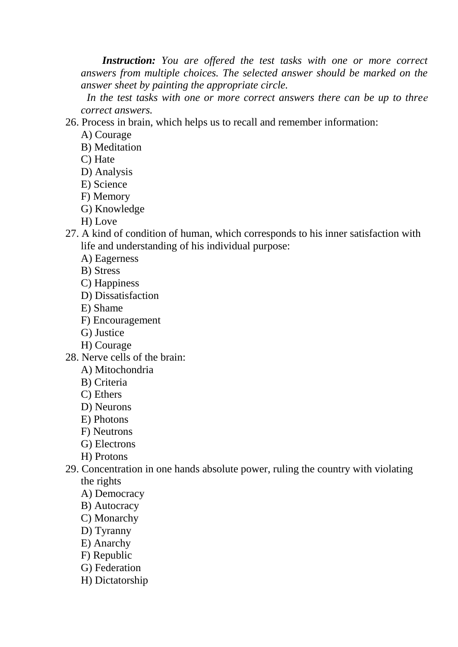*Instruction: You are offered the test tasks with one or more correct answers from multiple choices. The selected answer should be marked on the answer sheet by painting the appropriate circle.*

 *In the test tasks with one or more correct answers there can be up to threе correct answers.*

26. Process in brain, which helps us to recall and remember information:

A) Courage

B) Meditation

- C) Hate
- D) Analysis
- E) Science
- F) Memory
- G) Knowledge
- H) Love
- 27. A kind of condition of human, which corresponds to his inner satisfaction with life and understanding of his individual purpose:
	- A) Eagerness
	- B) Stress
	- C) Happiness
	- D) Dissatisfaction
	- E) Shame
	- F) Encouragement
	- G) Justice
	- H) Courage
- 28. Nerve cells of the brain:
	- A) Mitochondria
	- B) Criteria
	- C) Ethers
	- D) Neurons
	- E) Photons
	- F) Neutrons
	- G) Electrons
	- H) Protons
- 29. Concentration in one hands absolute power, ruling the country with violating the rights
	- A) Democracy
	- B) Autocracy
	- C) Monarchy
	- D) Tyranny
	- E) Anarchy
	- F) Republic
	- G) Federation
	- H) Dictatorship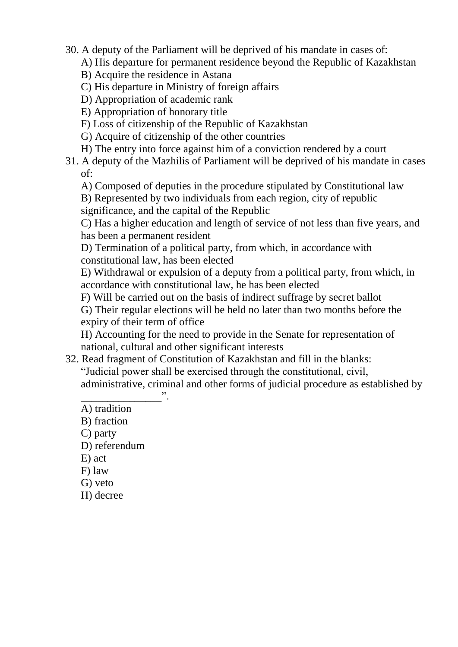30. A deputy of the Parliament will be deprived of his mandate in cases of:

A) His departure for permanent residence beyond the Republic of Kazakhstan

- B) Acquire the residence in Astana
- C) His departure in Ministry of foreign affairs
- D) Appropriation of academic rank
- E) Appropriation of honorary title
- F) Loss of citizenship of the Republic of Kazakhstan
- G) Acquire of citizenship of the other countries
- H) The entry into force against him of a conviction rendered by a court
- 31. A deputy of the Mazhilis of Parliament will be deprived of his mandate in cases of:
	- A) Composed of deputies in the procedure stipulated by Constitutional law
	- B) Represented by two individuals from each region, city of republic significance, and the capital of the Republic

C) Has a higher education and length of service of not less than five years, and has been a permanent resident

D) Termination of a political party, from which, in accordance with constitutional law, has been elected

E) Withdrawal or expulsion of a deputy from a political party, from which, in accordance with constitutional law, he has been elected

F) Will be carried out on the basis of indirect suffrage by secret ballot

G) Their regular elections will be held no later than two months before the expiry of their term of office

H) Accounting for the need to provide in the Senate for representation of national, cultural and other significant interests

32. Read fragment of Constitution of Kazakhstan and fill in the blanks: "Judicial power shall be exercised through the constitutional, civil, administrative, criminal and other forms of judicial procedure as established by

 $\overbrace{\phantom{aaaaaa}}^{32}$ A) tradition

- B) fraction
- C) party
- D) referendum
- E) act
- F) law
- G) veto
- H) decree